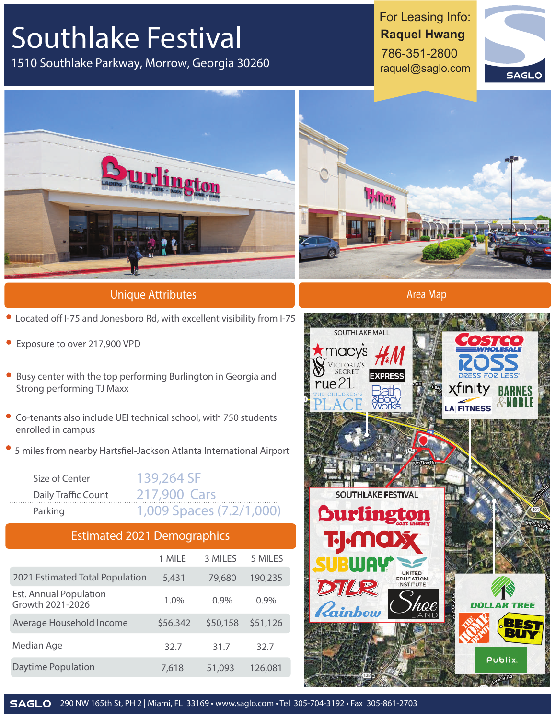## **Southlake Festival**

1510 Southlake Parkway, Morrow, Georgia 30260

For Leasing Info: **Raquel Hwang**  786-351-2800 raquel@saglo.com





**Unique Attributes**

- $\bullet$  Located off I-75 and Jonesboro Rd, with excellent visibility from I-75
- Exposure to over 217,900 VPD
- Busy center with the top performing Burlington in Georgia and Strong performing TJ Maxx
- Co-tenants also include UEI technical school, with 750 students enrolled in campus
- 5 miles from nearby Hartsfiel-Jackson Atlanta International Airport

| Size of Center      | 139.764.SF               |
|---------------------|--------------------------|
| Daily Traffic Count | 217.900 Cars             |
| Parking             | 1.009 Spaces (7.2/1,000) |

## **Estimated 2021 Demographics**

|                                                   | 1 MILE   | 3 MILES  | 5 MILES  |
|---------------------------------------------------|----------|----------|----------|
| 2021 Estimated Total Population                   | 5,431    | 79,680   | 190,235  |
| <b>Est. Annual Population</b><br>Growth 2021-2026 | 1.0%     | 0.9%     | $0.9\%$  |
| Average Household Income                          | \$56,342 | \$50,158 | \$51,126 |
| Median Age                                        | 32.7     | 31.7     | 32.7     |
| Daytime Population                                | 7,618    | 51,093   | 126,081  |



**Area Map**